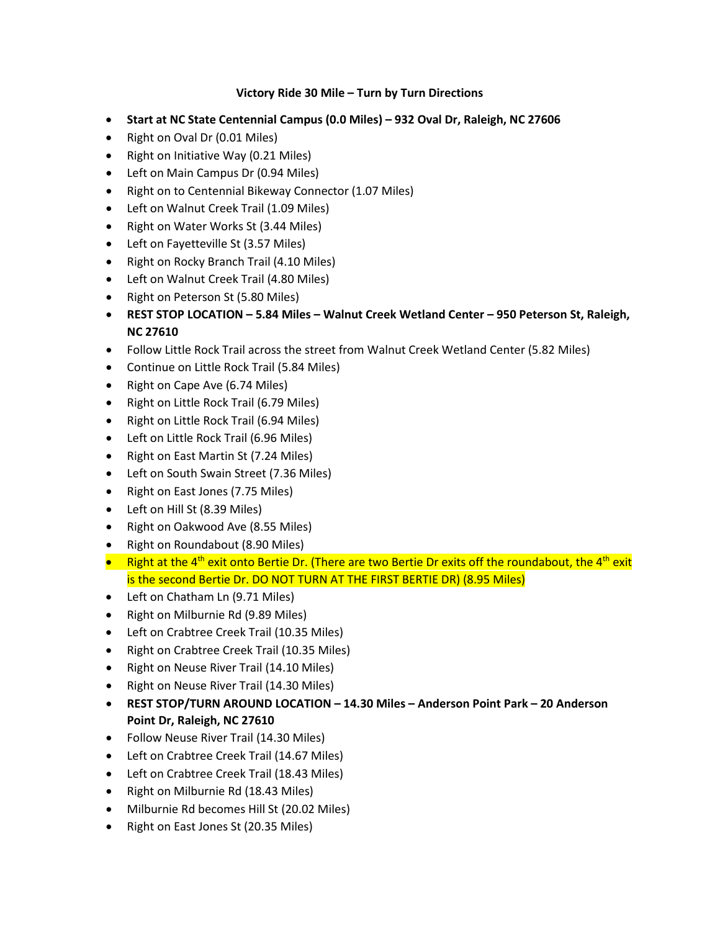## **Victory Ride 30 Mile – Turn by Turn Directions**

- **Start at NC State Centennial Campus (0.0 Miles) – 932 Oval Dr, Raleigh, NC 27606**
- Right on Oval Dr (0.01 Miles)
- Right on Initiative Way (0.21 Miles)
- Left on Main Campus Dr (0.94 Miles)
- Right on to Centennial Bikeway Connector (1.07 Miles)
- Left on Walnut Creek Trail (1.09 Miles)
- Right on Water Works St (3.44 Miles)
- Left on Fayetteville St (3.57 Miles)
- Right on Rocky Branch Trail (4.10 Miles)
- Left on Walnut Creek Trail (4.80 Miles)
- Right on Peterson St (5.80 Miles)
- **REST STOP LOCATION – 5.84 Miles – Walnut Creek Wetland Center – 950 Peterson St, Raleigh, NC 27610**
- Follow Little Rock Trail across the street from Walnut Creek Wetland Center (5.82 Miles)
- Continue on Little Rock Trail (5.84 Miles)
- Right on Cape Ave (6.74 Miles)
- Right on Little Rock Trail (6.79 Miles)
- Right on Little Rock Trail (6.94 Miles)
- Left on Little Rock Trail (6.96 Miles)
- Right on East Martin St (7.24 Miles)
- Left on South Swain Street (7.36 Miles)
- Right on East Jones (7.75 Miles)
- Left on Hill St (8.39 Miles)
- Right on Oakwood Ave (8.55 Miles)
- Right on Roundabout (8.90 Miles)
- Right at the 4<sup>th</sup> exit onto Bertie Dr. (There are two Bertie Dr exits off the roundabout, the 4<sup>th</sup> exit is the second Bertie Dr. DO NOT TURN AT THE FIRST BERTIE DR) (8.95 Miles)
- Left on Chatham Ln (9.71 Miles)
- Right on Milburnie Rd (9.89 Miles)
- Left on Crabtree Creek Trail (10.35 Miles)
- Right on Crabtree Creek Trail (10.35 Miles)
- Right on Neuse River Trail (14.10 Miles)
- Right on Neuse River Trail (14.30 Miles)
- **REST STOP/TURN AROUND LOCATION – 14.30 Miles – Anderson Point Park – 20 Anderson Point Dr, Raleigh, NC 27610**
- Follow Neuse River Trail (14.30 Miles)
- Left on Crabtree Creek Trail (14.67 Miles)
- Left on Crabtree Creek Trail (18.43 Miles)
- Right on Milburnie Rd (18.43 Miles)
- Milburnie Rd becomes Hill St (20.02 Miles)
- Right on East Jones St (20.35 Miles)